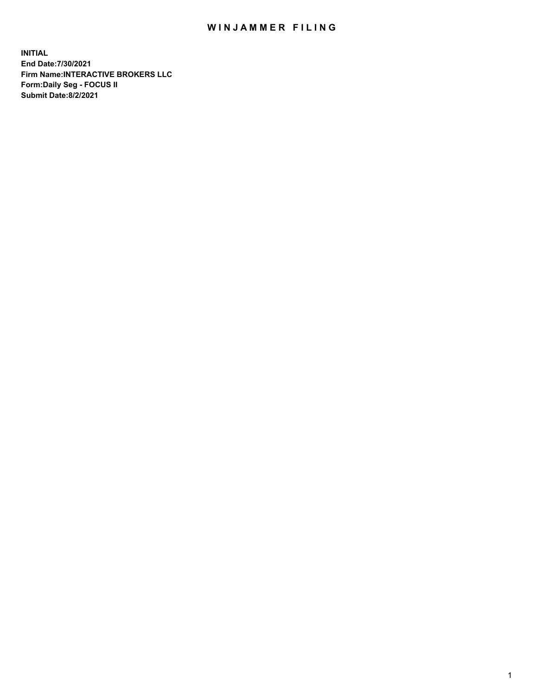## WIN JAMMER FILING

**INITIAL End Date:7/30/2021 Firm Name:INTERACTIVE BROKERS LLC Form:Daily Seg - FOCUS II Submit Date:8/2/2021**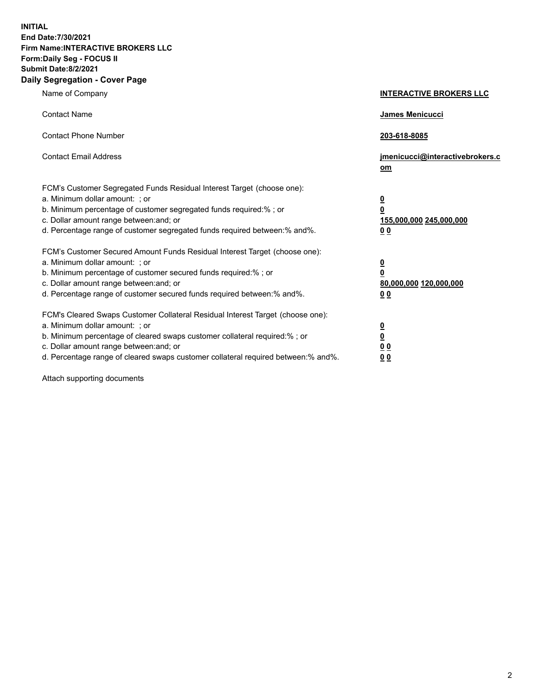**INITIAL End Date:7/30/2021 Firm Name:INTERACTIVE BROKERS LLC Form:Daily Seg - FOCUS II Submit Date:8/2/2021 Daily Segregation - Cover Page**

| Name of Company                                                                                                                                                                                                                                                                                                                | <b>INTERACTIVE BROKERS LLC</b>                                                                  |
|--------------------------------------------------------------------------------------------------------------------------------------------------------------------------------------------------------------------------------------------------------------------------------------------------------------------------------|-------------------------------------------------------------------------------------------------|
| <b>Contact Name</b>                                                                                                                                                                                                                                                                                                            | <b>James Menicucci</b>                                                                          |
| <b>Contact Phone Number</b>                                                                                                                                                                                                                                                                                                    | 203-618-8085                                                                                    |
| <b>Contact Email Address</b>                                                                                                                                                                                                                                                                                                   | jmenicucci@interactivebrokers.c<br>om                                                           |
| FCM's Customer Segregated Funds Residual Interest Target (choose one):<br>a. Minimum dollar amount: ; or<br>b. Minimum percentage of customer segregated funds required:%; or<br>c. Dollar amount range between: and; or<br>d. Percentage range of customer segregated funds required between:% and%.                          | $\overline{\mathbf{0}}$<br>$\overline{\mathbf{0}}$<br>155,000,000 245,000,000<br>0 <sub>0</sub> |
| FCM's Customer Secured Amount Funds Residual Interest Target (choose one):<br>a. Minimum dollar amount: ; or<br>b. Minimum percentage of customer secured funds required:%; or<br>c. Dollar amount range between: and; or<br>d. Percentage range of customer secured funds required between:% and%.                            | $\overline{\mathbf{0}}$<br>$\overline{\mathbf{0}}$<br>80,000,000 120,000,000<br>0 <sub>0</sub>  |
| FCM's Cleared Swaps Customer Collateral Residual Interest Target (choose one):<br>a. Minimum dollar amount: ; or<br>b. Minimum percentage of cleared swaps customer collateral required:% ; or<br>c. Dollar amount range between: and; or<br>d. Percentage range of cleared swaps customer collateral required between:% and%. | $\overline{\mathbf{0}}$<br>$\overline{\mathbf{0}}$<br>0 <sub>0</sub><br>0 <sub>0</sub>          |

Attach supporting documents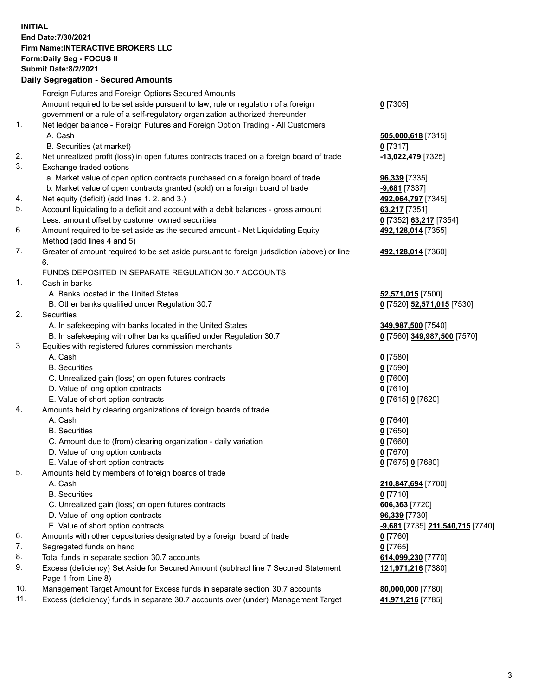**INITIAL End Date:7/30/2021 Firm Name:INTERACTIVE BROKERS LLC Form:Daily Seg - FOCUS II Submit Date:8/2/2021 Daily Segregation - Secured Amounts**

|     | Foreign Futures and Foreign Options Secured Amounts                                                        |                                                      |
|-----|------------------------------------------------------------------------------------------------------------|------------------------------------------------------|
|     | Amount required to be set aside pursuant to law, rule or regulation of a foreign                           | $0$ [7305]                                           |
|     | government or a rule of a self-regulatory organization authorized thereunder                               |                                                      |
| 1.  | Net ledger balance - Foreign Futures and Foreign Option Trading - All Customers                            |                                                      |
|     | A. Cash                                                                                                    | 505,000,618 [7315]                                   |
|     | B. Securities (at market)                                                                                  | $0$ [7317]                                           |
| 2.  | Net unrealized profit (loss) in open futures contracts traded on a foreign board of trade                  | -13,022,479 [7325]                                   |
| 3.  | Exchange traded options                                                                                    |                                                      |
|     | a. Market value of open option contracts purchased on a foreign board of trade                             | 96,339 [7335]                                        |
|     | b. Market value of open contracts granted (sold) on a foreign board of trade                               | -9,681 [7337]                                        |
| 4.  | Net equity (deficit) (add lines 1. 2. and 3.)                                                              | 492,064,797 [7345]                                   |
| 5.  | Account liquidating to a deficit and account with a debit balances - gross amount                          | 63,217 [7351]                                        |
|     | Less: amount offset by customer owned securities                                                           | 0 [7352] 63,217 [7354]                               |
| 6.  | Amount required to be set aside as the secured amount - Net Liquidating Equity                             | 492,128,014 [7355]                                   |
|     | Method (add lines 4 and 5)                                                                                 |                                                      |
| 7.  | Greater of amount required to be set aside pursuant to foreign jurisdiction (above) or line                | 492,128,014 [7360]                                   |
|     | 6.                                                                                                         |                                                      |
|     | FUNDS DEPOSITED IN SEPARATE REGULATION 30.7 ACCOUNTS                                                       |                                                      |
| 1.  | Cash in banks                                                                                              |                                                      |
|     | A. Banks located in the United States                                                                      | 52,571,015 [7500]                                    |
|     | B. Other banks qualified under Regulation 30.7                                                             | 0 [7520] 52,571,015 [7530]                           |
| 2.  | Securities                                                                                                 |                                                      |
|     | A. In safekeeping with banks located in the United States                                                  | 349,987,500 [7540]                                   |
|     | B. In safekeeping with other banks qualified under Regulation 30.7                                         | 0 [7560] 349,987,500 [7570]                          |
| 3.  | Equities with registered futures commission merchants                                                      |                                                      |
|     | A. Cash                                                                                                    | $0$ [7580]                                           |
|     | <b>B.</b> Securities                                                                                       | $0$ [7590]                                           |
|     | C. Unrealized gain (loss) on open futures contracts                                                        | $0$ [7600]                                           |
|     | D. Value of long option contracts                                                                          | $0$ [7610]                                           |
|     | E. Value of short option contracts                                                                         | 0 [7615] 0 [7620]                                    |
| 4.  | Amounts held by clearing organizations of foreign boards of trade                                          |                                                      |
|     | A. Cash                                                                                                    | $0$ [7640]                                           |
|     | <b>B.</b> Securities                                                                                       | $0$ [7650]                                           |
|     | C. Amount due to (from) clearing organization - daily variation                                            | $0$ [7660]                                           |
|     | D. Value of long option contracts                                                                          | $0$ [7670]                                           |
|     | E. Value of short option contracts                                                                         | 0 [7675] 0 [7680]                                    |
| 5.  | Amounts held by members of foreign boards of trade                                                         |                                                      |
|     | A. Cash                                                                                                    | 210,847,694 [7700]                                   |
|     | <b>B.</b> Securities                                                                                       | $0$ [7710]                                           |
|     | C. Unrealized gain (loss) on open futures contracts                                                        | 606,363 [7720]                                       |
|     | D. Value of long option contracts                                                                          | 96,339 [7730]                                        |
|     | E. Value of short option contracts                                                                         | <mark>-9,681</mark> [7735] <b>211,540,715</b> [7740] |
| 6.  | Amounts with other depositories designated by a foreign board of trade                                     | 0 [7760]                                             |
| 7.  | Segregated funds on hand                                                                                   | $0$ [7765]                                           |
| 8.  | Total funds in separate section 30.7 accounts                                                              | 614,099,230 [7770]                                   |
| 9.  | Excess (deficiency) Set Aside for Secured Amount (subtract line 7 Secured Statement<br>Page 1 from Line 8) | 121,971,216 [7380]                                   |
| 10. | Management Target Amount for Excess funds in separate section 30.7 accounts                                | 80,000,000 [7780]                                    |
| 11. | Excess (deficiency) funds in separate 30.7 accounts over (under) Management Target                         | 41,971,216 [7785]                                    |
|     |                                                                                                            |                                                      |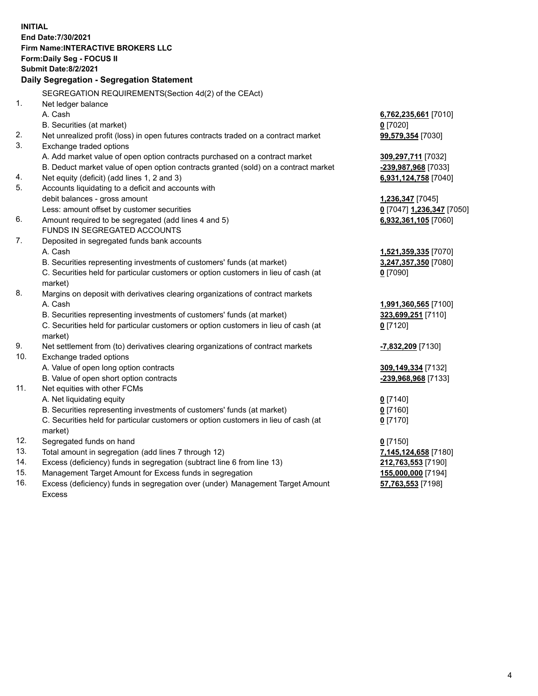**INITIAL End Date:7/30/2021 Firm Name:INTERACTIVE BROKERS LLC Form:Daily Seg - FOCUS II Submit Date:8/2/2021 Daily Segregation - Segregation Statement** SEGREGATION REQUIREMENTS(Section 4d(2) of the CEAct) 1. Net ledger balance A. Cash **6,762,235,661** [7010] B. Securities (at market) **0** [7020] 2. Net unrealized profit (loss) in open futures contracts traded on a contract market **99,579,354** [7030] 3. Exchange traded options A. Add market value of open option contracts purchased on a contract market **309,297,711** [7032] B. Deduct market value of open option contracts granted (sold) on a contract market **-239,987,968** [7033] 4. Net equity (deficit) (add lines 1, 2 and 3) **6,931,124,758** [7040] 5. Accounts liquidating to a deficit and accounts with debit balances - gross amount **1,236,347** [7045] Less: amount offset by customer securities **0** [7047] **1,236,347** [7050] 6. Amount required to be segregated (add lines 4 and 5) **6,932,361,105** [7060] FUNDS IN SEGREGATED ACCOUNTS 7. Deposited in segregated funds bank accounts A. Cash **1,521,359,335** [7070] B. Securities representing investments of customers' funds (at market) **3,247,357,350** [7080] C. Securities held for particular customers or option customers in lieu of cash (at market) **0** [7090] 8. Margins on deposit with derivatives clearing organizations of contract markets A. Cash **1,991,360,565** [7100] B. Securities representing investments of customers' funds (at market) **323,699,251** [7110] C. Securities held for particular customers or option customers in lieu of cash (at market) **0** [7120] 9. Net settlement from (to) derivatives clearing organizations of contract markets **-7,832,209** [7130] 10. Exchange traded options A. Value of open long option contracts **309,149,334** [7132] B. Value of open short option contracts **-239,968,968** [7133] 11. Net equities with other FCMs A. Net liquidating equity **0** [7140] B. Securities representing investments of customers' funds (at market) **0** [7160] C. Securities held for particular customers or option customers in lieu of cash (at market) **0** [7170] 12. Segregated funds on hand **0** [7150] 13. Total amount in segregation (add lines 7 through 12) **7,145,124,658** [7180] 14. Excess (deficiency) funds in segregation (subtract line 6 from line 13) **212,763,553** [7190] 15. Management Target Amount for Excess funds in segregation **155,000,000** [7194] 16. Excess (deficiency) funds in segregation over (under) Management Target Amount Excess **57,763,553** [7198]